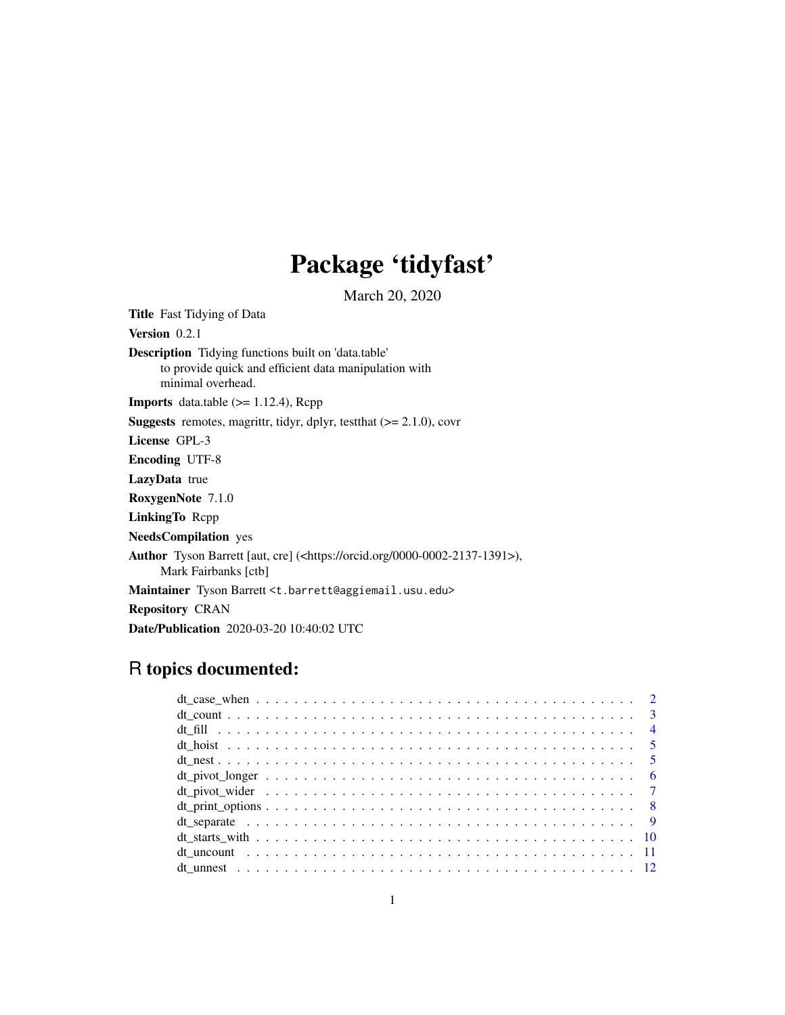# Package 'tidyfast'

March 20, 2020

Title Fast Tidying of Data Version 0.2.1 Description Tidying functions built on 'data.table' to provide quick and efficient data manipulation with minimal overhead. **Imports** data.table  $(>= 1.12.4)$ , Rcpp Suggests remotes, magrittr, tidyr, dplyr, testthat (>= 2.1.0), covr License GPL-3 Encoding UTF-8 LazyData true RoxygenNote 7.1.0 LinkingTo Rcpp NeedsCompilation yes Author Tyson Barrett [aut, cre] (<https://orcid.org/0000-0002-2137-1391>), Mark Fairbanks [ctb] Maintainer Tyson Barrett <t.barrett@aggiemail.usu.edu> Repository CRAN Date/Publication 2020-03-20 10:40:02 UTC

# R topics documented: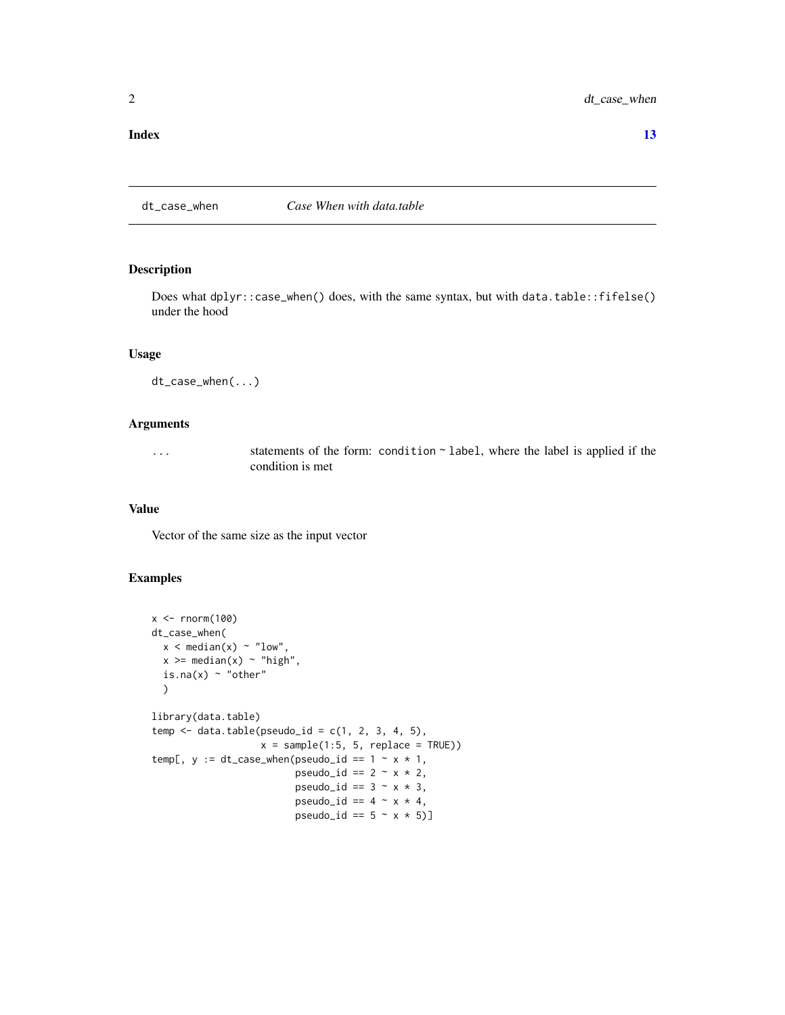#### <span id="page-1-0"></span>**Index** [13](#page-12-0)

dt\_case\_when *Case When with data.table*

#### Description

Does what dplyr::case\_when() does, with the same syntax, but with data.table::fifelse() under the hood

#### Usage

dt\_case\_when(...)

# Arguments

... statements of the form: condition ~ label, where the label is applied if the condition is met

#### Value

Vector of the same size as the input vector

```
x < - rnorm(100)
dt_case_when(
  x < \text{median}(x) \sim "low",x \ge m median(x) ~ "high",
  is.na(x) \sim "other"
  \lambdalibrary(data.table)
temp \leq data.table(pseudo_id = c(1, 2, 3, 4, 5),
                     x = sample(1:5, 5, replace = TRUE))temp[, y := dt\_case\_when(pseudo\_id == 1 ~ x ~ x 1,pseudo_id == 2 \sim x * 2,
                           pseudo_id == 3 \sim x * 3,
                           pseudo_id == 4 \sim x * 4,
                           pseudo_id == 5 \sim x * 5]
```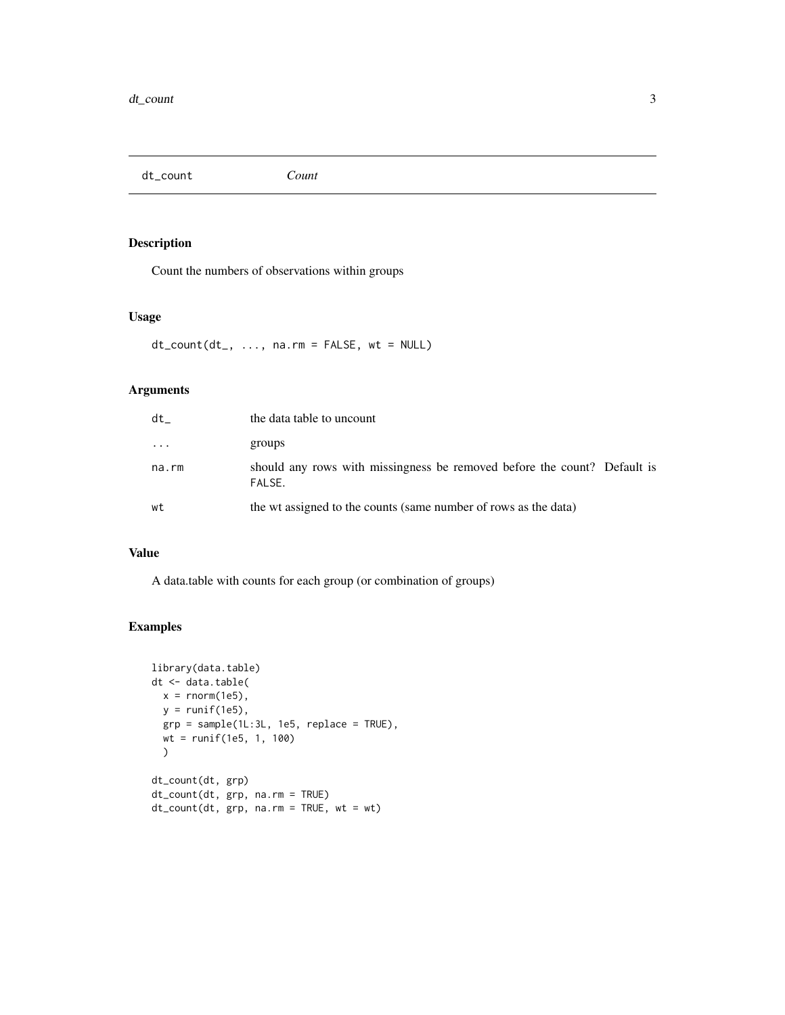<span id="page-2-0"></span>dt\_count *Count*

#### Description

Count the numbers of observations within groups

# Usage

 $dt_{count}(dt_{-}, ..., n_{a.}rm = FALSE, wt = NULL)$ 

# Arguments

| dt       | the data table to uncount                                                          |
|----------|------------------------------------------------------------------------------------|
| $\cdots$ | groups                                                                             |
| na.rm    | should any rows with missingness be removed before the count? Default is<br>FALSE. |
| wt       | the wt assigned to the counts (same number of rows as the data)                    |

# Value

A data.table with counts for each group (or combination of groups)

```
library(data.table)
dt <- data.table(
 x = \text{norm}(1e5),
  y = runif(1e5),
 grp = sample(1L:3L, 1e5, replace = TRUE),
  wt = runif(1e5, 1, 100)
  )
dt_count(dt, grp)
dt_count(dt, grp, na.rm = TRUE)
dt_count(dt, grp, na.rm = TRUE, wt = wt)
```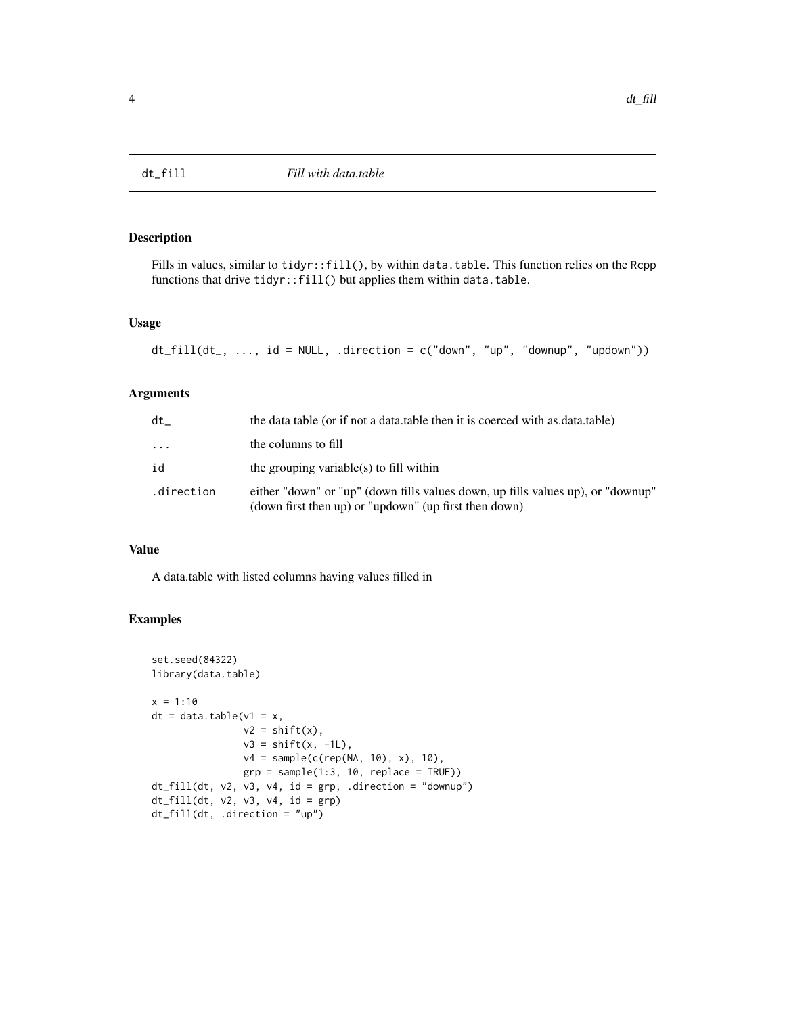<span id="page-3-0"></span>

# Description

Fills in values, similar to tidyr::fill(), by within data.table. This function relies on the Rcpp functions that drive tidyr::fill() but applies them within data.table.

#### Usage

```
dt_fill(dt_-, ..., id = NULL, .direction = c("down", "up", "downup", "updown")
```
#### Arguments

| dt         | the data table (or if not a data table then it is coerced with as data table)                                                            |
|------------|------------------------------------------------------------------------------------------------------------------------------------------|
| $\ddots$   | the columns to fill                                                                                                                      |
| id         | the grouping variable(s) to fill within                                                                                                  |
| .direction | either "down" or "up" (down fills values down, up fills values up), or "downup"<br>(down first then up) or "updown" (up first then down) |

# Value

A data.table with listed columns having values filled in

```
set.seed(84322)
library(data.table)
x = 1:10dt = data.title(v1 = x,v2 = shift(x),
               v3 = shift(x, -1L),
               v4 = sample(c(rep(NA, 10), x), 10),
               grp = sample(1:3, 10, replace = TRUE))dt_fill(dt, v2, v3, v4, id = grp, .direction = "downup")
dt_fill(dt, v2, v3, v4, id = grp)dt_fill(dt, .direction = "up")
```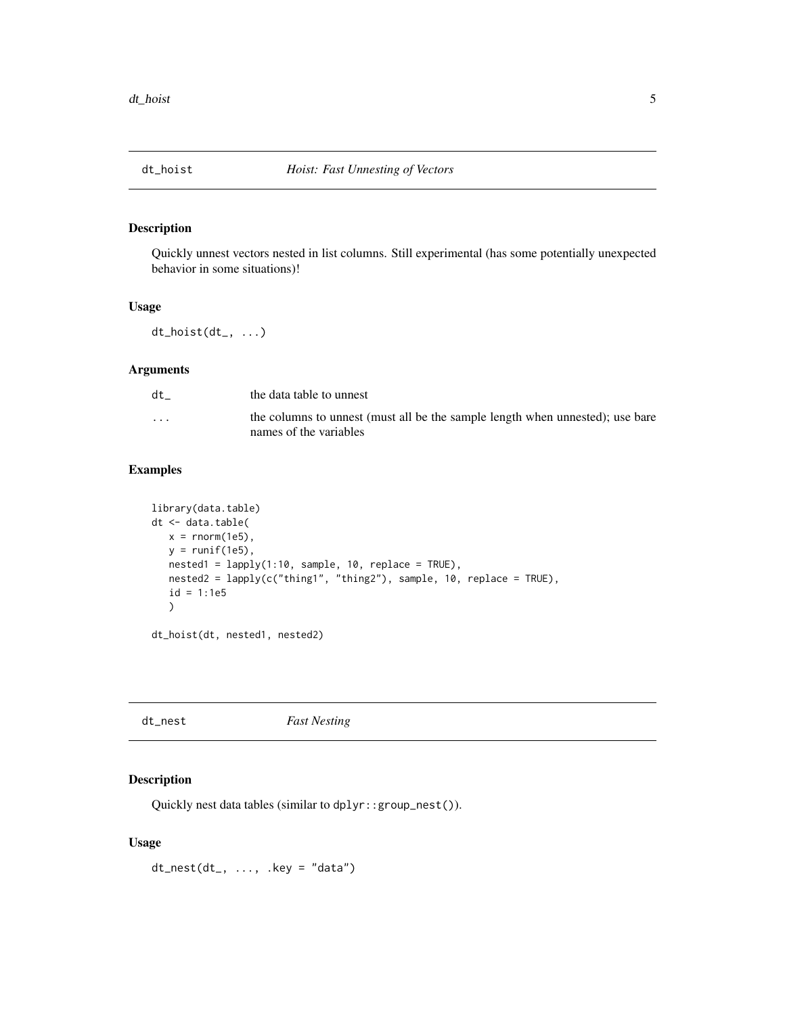<span id="page-4-0"></span>

## Description

Quickly unnest vectors nested in list columns. Still experimental (has some potentially unexpected behavior in some situations)!

#### Usage

 $dt\_hoist(dt_-, ...)$ 

# Arguments

| dt                      | the data table to unnest                                                                                |
|-------------------------|---------------------------------------------------------------------------------------------------------|
| $\cdot$ $\cdot$ $\cdot$ | the columns to unnest (must all be the sample length when unnested); use bare<br>names of the variables |

# Examples

```
library(data.table)
dt <- data.table(
  x = \text{norm}(1e5),
  y = runif(1e5),
  nested1 = lapply(1:10, sample, 10, replace = TRUE),
  nested2 = lapply(c("thing1", "thing2"), sample, 10, replace = TRUE),
  id = 1:1e5)
```
dt\_hoist(dt, nested1, nested2)

dt\_nest *Fast Nesting*

# Description

Quickly nest data tables (similar to dplyr::group\_nest()).

#### Usage

 $dt_{nest}(dt_{-}, ..., key = "data")$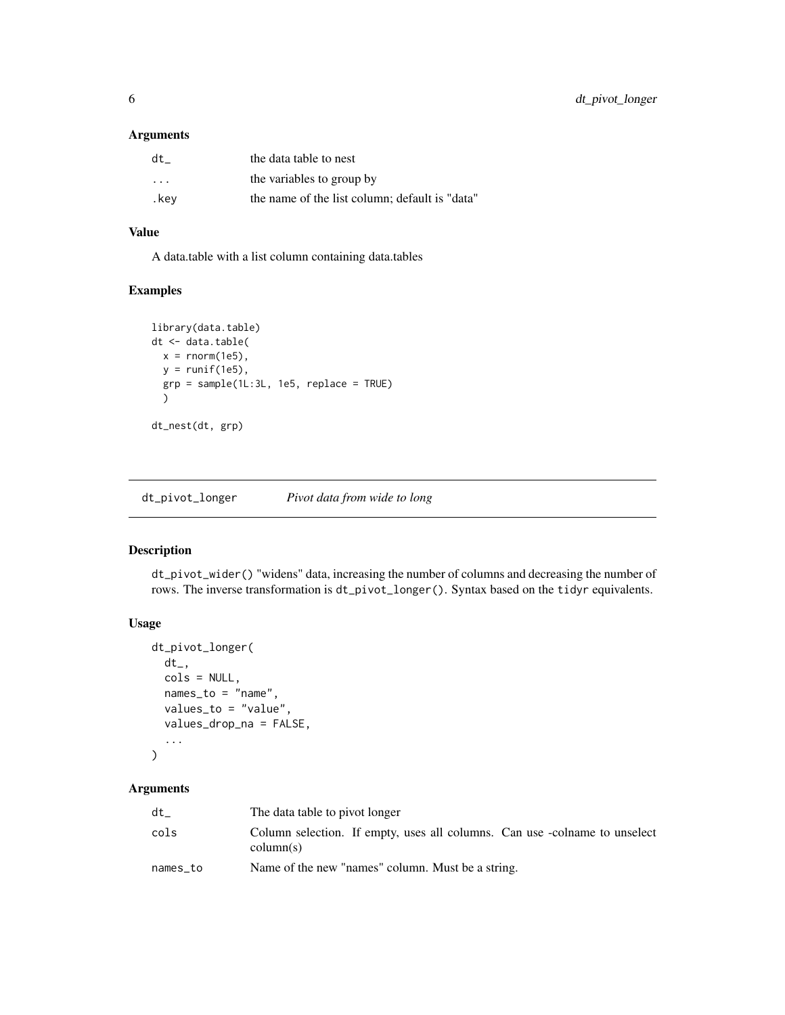#### <span id="page-5-0"></span>Arguments

| dt                      | the data table to nest                         |
|-------------------------|------------------------------------------------|
| $\cdot$ $\cdot$ $\cdot$ | the variables to group by                      |
| kev.                    | the name of the list column; default is "data" |

# Value

A data.table with a list column containing data.tables

# Examples

```
library(data.table)
dt <- data.table(
 x = \text{norm}(1e5),
 y = runif(1e5),
  grp = sample(1L:3L, 1e5, replace = TRUE)
  )
dt_nest(dt, grp)
```
dt\_pivot\_longer *Pivot data from wide to long*

# Description

dt\_pivot\_wider() "widens" data, increasing the number of columns and decreasing the number of rows. The inverse transformation is dt\_pivot\_longer(). Syntax based on the tidyr equivalents.

# Usage

```
dt_pivot_longer(
  dt_-,cols = NULL,names_to = "name",values_to = "value",
  values_drop_na = FALSE,
  ...
)
```

| dt       | The data table to pivot longer                                                          |
|----------|-----------------------------------------------------------------------------------------|
| cols     | Column selection. If empty, uses all columns. Can use -colname to unselect<br>column(s) |
| names to | Name of the new "names" column. Must be a string.                                       |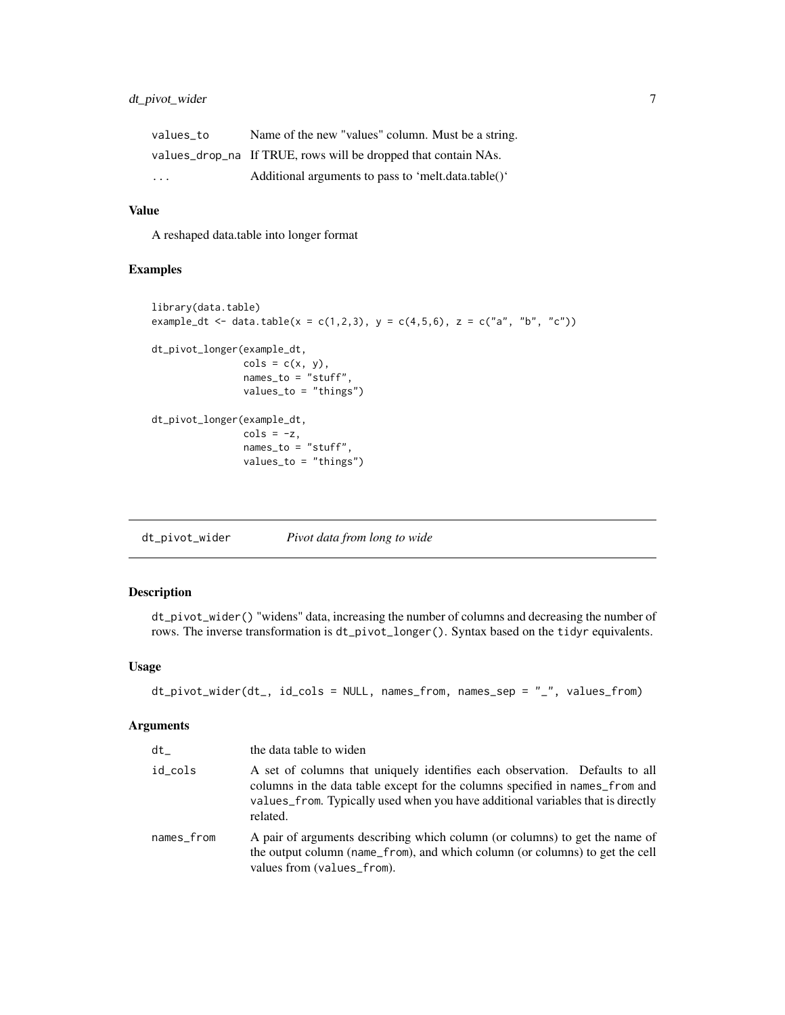# <span id="page-6-0"></span>dt\_pivot\_wider 7

| values to               | Name of the new "values" column. Must be a string.             |
|-------------------------|----------------------------------------------------------------|
|                         | values_drop_na If TRUE, rows will be dropped that contain NAs. |
| $\cdot$ $\cdot$ $\cdot$ | Additional arguments to pass to 'melt.data.table()'            |

# Value

A reshaped data.table into longer format

#### Examples

```
library(data.table)
example_dt <- data.table(x = c(1,2,3), y = c(4,5,6), z = c("a", "b", "c"))
dt_pivot_longer(example_dt,
                 \text{cols} = \text{c}(x, y),
                 names_to = "stuff",
                 values_to = "things")
dt_pivot_longer(example_dt,
                 \text{cols} = -z,
                 names_to = "stuff",
                 values_to = "things")
```
dt\_pivot\_wider *Pivot data from long to wide*

# Description

dt\_pivot\_wider() "widens" data, increasing the number of columns and decreasing the number of rows. The inverse transformation is dt\_pivot\_longer(). Syntax based on the tidyr equivalents.

#### Usage

```
dt_pivot_wider(dt_, id_cols = NULL, names_from, names_sep = "_", values_from)
```

| dt         | the data table to widen                                                                                                                                                                                                                                    |
|------------|------------------------------------------------------------------------------------------------------------------------------------------------------------------------------------------------------------------------------------------------------------|
| id cols    | A set of columns that uniquely identifies each observation. Defaults to all<br>columns in the data table except for the columns specified in names_from and<br>values_from. Typically used when you have additional variables that is directly<br>related. |
| names_from | A pair of arguments describing which column (or columns) to get the name of<br>the output column (name_from), and which column (or columns) to get the cell<br>values from (values_from).                                                                  |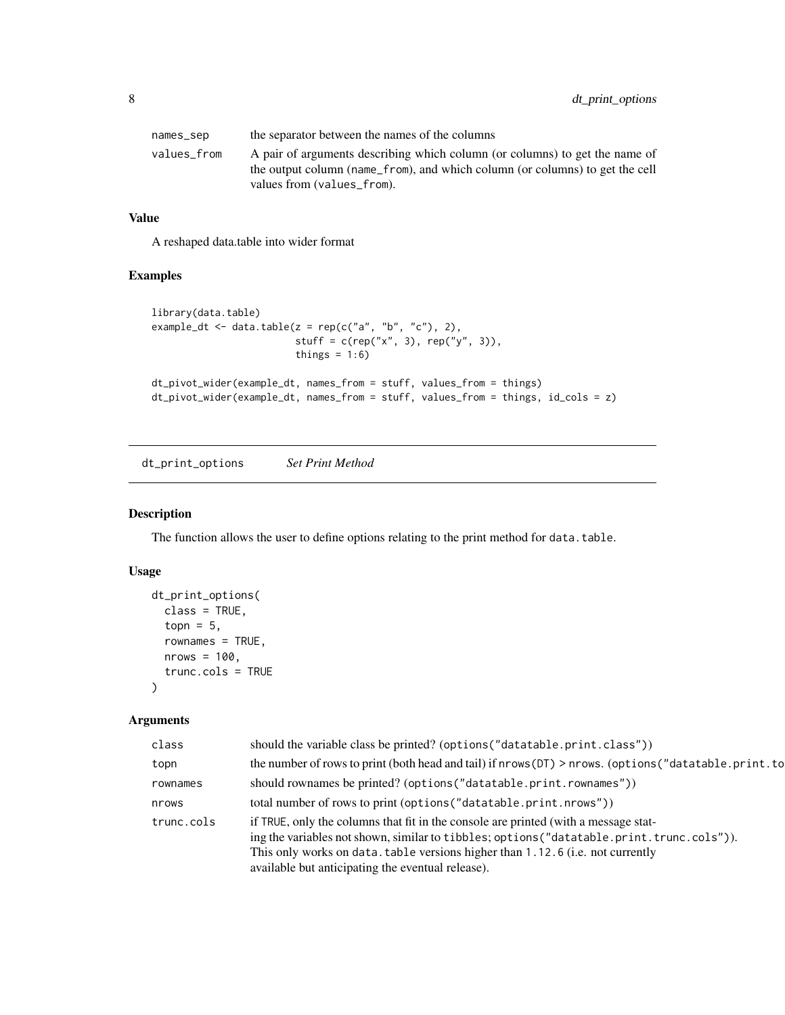<span id="page-7-0"></span>

| names_sep   | the separator between the names of the columns                                                                                                                                            |
|-------------|-------------------------------------------------------------------------------------------------------------------------------------------------------------------------------------------|
| values from | A pair of arguments describing which column (or columns) to get the name of<br>the output column (name_from), and which column (or columns) to get the cell<br>values from (values_from). |

# Value

A reshaped data.table into wider format

# Examples

```
library(data.table)
example_dt <- data.table(z = \text{rep}(c("a", "b", "c"), 2),
                         stuff = c(rep("x", 3), rep("y", 3)),things = 1:6)
dt_pivot_wider(example_dt, names_from = stuff, values_from = things)
dt_pivot_wider(example_dt, names_from = stuff, values_from = things, id_cols = z)
```
dt\_print\_options *Set Print Method*

# Description

The function allows the user to define options relating to the print method for data.table.

# Usage

```
dt_print_options(
  class = TRUE,
  topn = 5,
  rownames = TRUE,
  nrows = 100,
  trunc.cols = TRUE
\mathcal{L}
```

| class      | should the variable class be printed? (options ("datatable.print.class"))                                                                                                                                                                                                                                               |
|------------|-------------------------------------------------------------------------------------------------------------------------------------------------------------------------------------------------------------------------------------------------------------------------------------------------------------------------|
| topn       | the number of rows to print (both head and tail) if nrows (DT) > nrows. (options ("datatable.print.to                                                                                                                                                                                                                   |
| rownames   | should rownames be printed? (options ("datatable.print.rownames"))                                                                                                                                                                                                                                                      |
| nrows      | total number of rows to print (options ("datatable.print.nrows"))                                                                                                                                                                                                                                                       |
| trunc.cols | if TRUE, only the columns that fit in the console are printed (with a message stat-<br>ing the variables not shown, similar to tibbles; options ("datatable.print.trunc.cols")).<br>This only works on data. table versions higher than 1.12.6 (i.e. not currently<br>available but anticipating the eventual release). |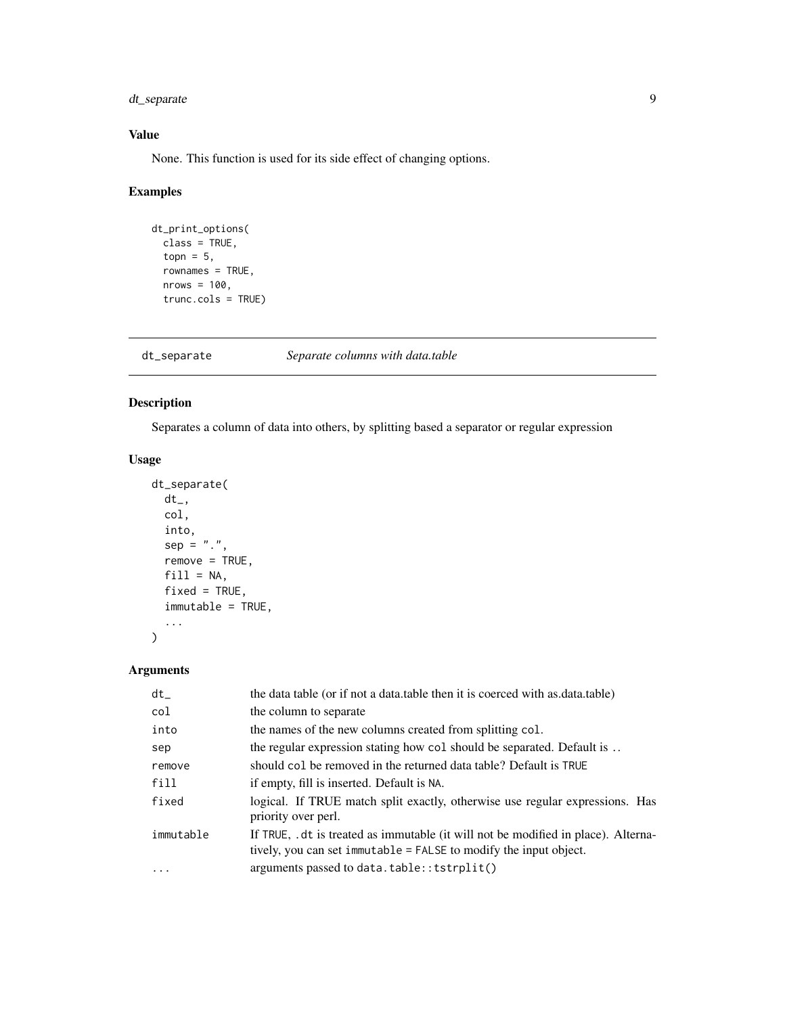# <span id="page-8-0"></span>dt\_separate 9

# Value

None. This function is used for its side effect of changing options.

# Examples

```
dt_print_options(
  class = TRUE,topn = 5,
  rownames = TRUE,
  nrows = 100,
  trunc.cols = TRUE)
```
dt\_separate *Separate columns with data.table*

# Description

Separates a column of data into others, by splitting based a separator or regular expression

# Usage

```
dt_separate(
  dt_-,col,
  into,
  sep = "."remove = TRUE,
  fill = NA,fixed = TRUE,
  immutable = TRUE,
  ...
```

```
)
```

| $dt_{-}$  | the data table (or if not a data.table then it is coerced with as.data.table)                                                                          |
|-----------|--------------------------------------------------------------------------------------------------------------------------------------------------------|
| col       | the column to separate                                                                                                                                 |
| into      | the names of the new columns created from splitting col.                                                                                               |
| sep       | the regular expression stating how col should be separated. Default is                                                                                 |
| remove    | should col be removed in the returned data table? Default is TRUE                                                                                      |
| fill      | if empty, fill is inserted. Default is NA.                                                                                                             |
| fixed     | logical. If TRUE match split exactly, otherwise use regular expressions. Has<br>priority over perl.                                                    |
| immutable | If TRUE, .dt is treated as immutable (it will not be modified in place). Alterna-<br>tively, you can set immutable = FALSE to modify the input object. |
| .         | arguments passed to data.table::tstrplit()                                                                                                             |
|           |                                                                                                                                                        |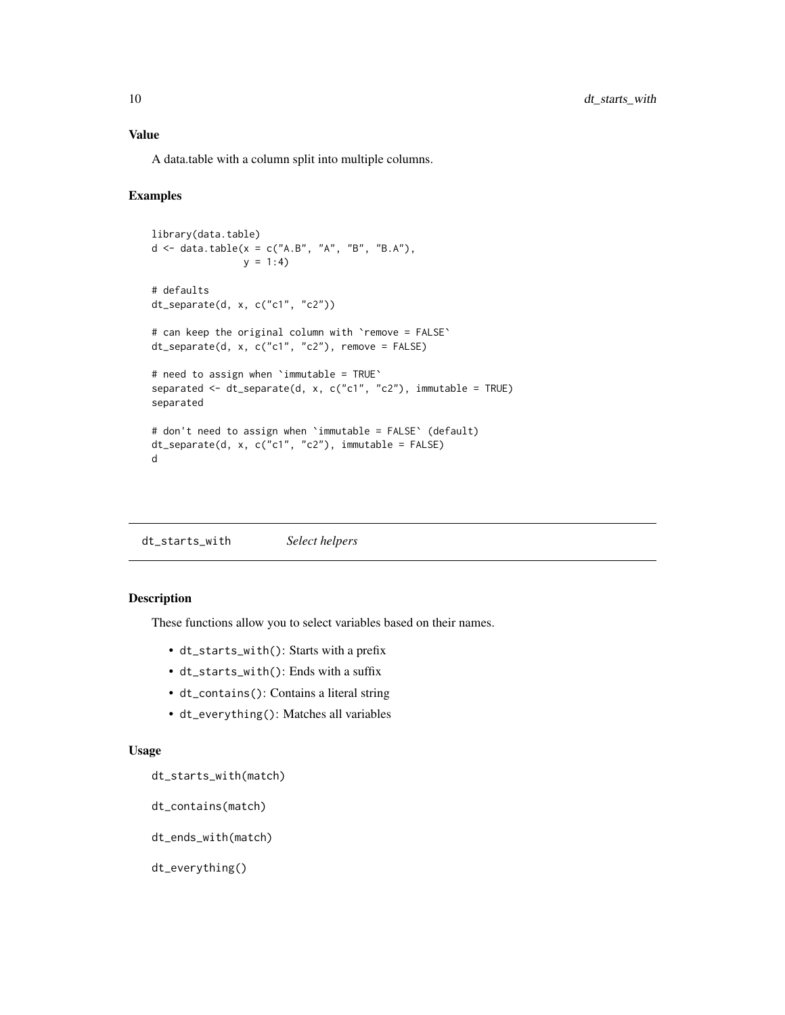<span id="page-9-0"></span>A data.table with a column split into multiple columns.

#### Examples

```
library(data.table)
d <- data.table(x = c("A.B", "A", "B", "B.A"),y = 1:4# defaults
dt_separate(d, x, c("c1", "c2"))
# can keep the original column with 'remove = FALSE'
dt_separate(d, x, c("c1", "c2"), remove = FALSE)
# need to assign when `immutable = TRUE`
separated \leq dt_separate(d, x, c("c1", "c2"), immutable = TRUE)
separated
# don't need to assign when `immutable = FALSE` (default)
dt_separate(d, x, c("c1", "c2"), immutable = FALSE)
d
```
dt\_starts\_with *Select helpers*

# Description

These functions allow you to select variables based on their names.

- dt\_starts\_with(): Starts with a prefix
- dt\_starts\_with(): Ends with a suffix
- dt\_contains(): Contains a literal string
- dt\_everything(): Matches all variables

#### Usage

dt\_starts\_with(match)

dt\_contains(match)

dt\_ends\_with(match)

dt\_everything()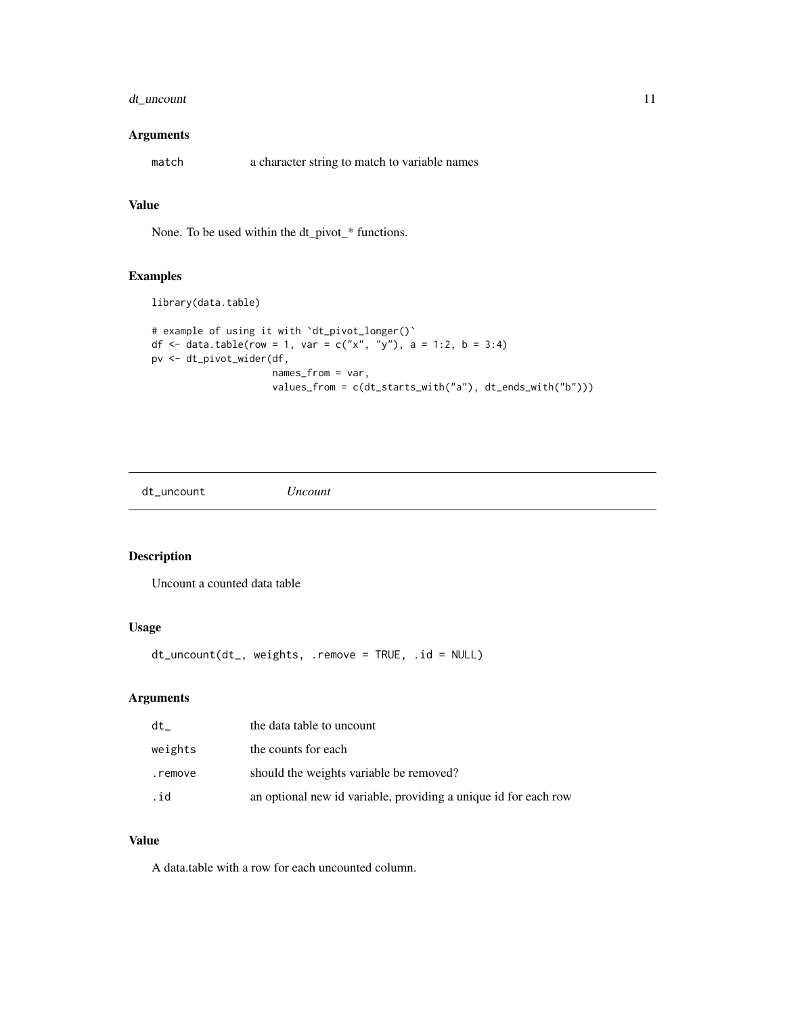# <span id="page-10-0"></span>dt\_uncount 11

### Arguments

match a character string to match to variable names

# Value

None. To be used within the dt\_pivot\_\* functions.

#### Examples

```
library(data.table)
```

```
# example of using it with 'dt_pivot_longer()'
df <- data.table(row = 1, var = c("x", "y"), a = 1:2, b = 3:4)
pv <- dt_pivot_wider(df,
                     names_from = var,
                     values_from = c(dt_starts_with("a"), dt_ends_with("b")))
```
dt\_uncount *Uncount*

# Description

Uncount a counted data table

# Usage

```
dt_uncount(dt_, weights, .remove = TRUE, .id = NULL)
```
# Arguments

| dt      | the data table to uncount                                       |
|---------|-----------------------------------------------------------------|
| weights | the counts for each                                             |
| .remove | should the weights variable be removed?                         |
| .id     | an optional new id variable, providing a unique id for each row |

# Value

A data.table with a row for each uncounted column.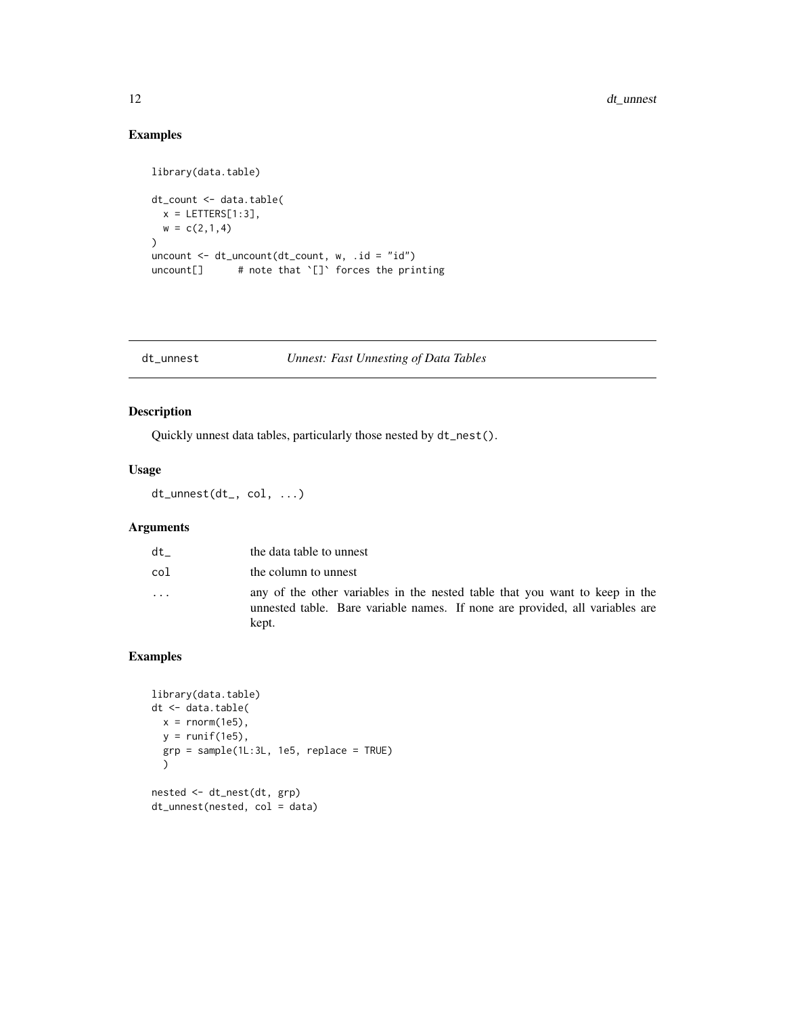# Examples

```
library(data.table)
dt_count <- data.table(
 x = LETTERS[1:3],w = c(2,1,4))
uncount \leq dt_uncount(dt_count, w, .id = "id")
uncount[] # note that `[]` forces the printing
```
dt\_unnest *Unnest: Fast Unnesting of Data Tables*

# Description

Quickly unnest data tables, particularly those nested by dt\_nest().

#### Usage

dt\_unnest(dt\_, col, ...)

#### Arguments

| dt  | the data table to unnest                                                                                                                                             |
|-----|----------------------------------------------------------------------------------------------------------------------------------------------------------------------|
| col | the column to unnest                                                                                                                                                 |
| .   | any of the other variables in the nested table that you want to keep in the<br>unnested table. Bare variable names. If none are provided, all variables are<br>kept. |

```
library(data.table)
dt <- data.table(
  x = \text{norm}(1e5),
  y = runif(1e5),
  grp = sample(1L:3L, 1e5, replace = TRUE)
  )
nested <- dt_nest(dt, grp)
dt_unnest(nested, col = data)
```
<span id="page-11-0"></span>